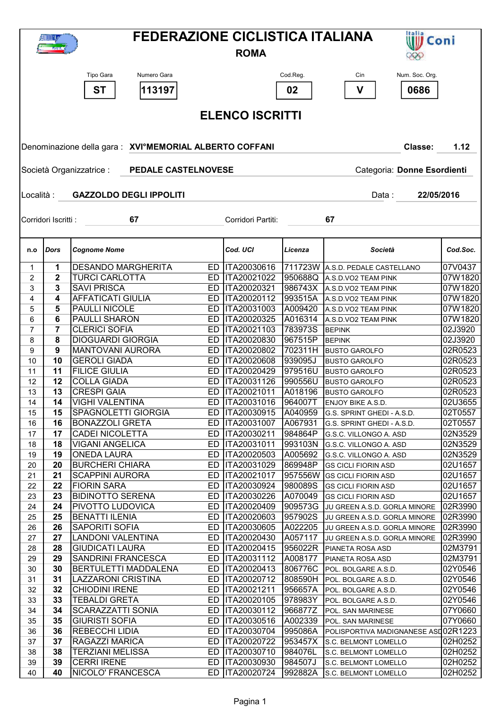|                                                                                       |                  |                                                     | <b>FEDERAZIONE CICLISTICA ITALIANA</b><br>Italia<br>W Coni<br>1602.5 |                                      |                    |                                                          |                    |  |  |  |  |  |  |
|---------------------------------------------------------------------------------------|------------------|-----------------------------------------------------|----------------------------------------------------------------------|--------------------------------------|--------------------|----------------------------------------------------------|--------------------|--|--|--|--|--|--|
|                                                                                       |                  |                                                     |                                                                      | <b>ROMA</b>                          |                    |                                                          |                    |  |  |  |  |  |  |
|                                                                                       |                  |                                                     |                                                                      |                                      |                    |                                                          |                    |  |  |  |  |  |  |
|                                                                                       |                  | Tipo Gara<br>Numero Gara                            |                                                                      |                                      | Cod.Reg.           | Num. Soc. Org.<br>Cin                                    |                    |  |  |  |  |  |  |
|                                                                                       |                  | <b>ST</b><br>113197                                 |                                                                      |                                      | 02                 | V<br>0686                                                |                    |  |  |  |  |  |  |
|                                                                                       |                  |                                                     |                                                                      |                                      |                    |                                                          |                    |  |  |  |  |  |  |
|                                                                                       |                  |                                                     |                                                                      | <b>ELENCO ISCRITTI</b>               |                    |                                                          |                    |  |  |  |  |  |  |
|                                                                                       |                  |                                                     |                                                                      |                                      |                    |                                                          |                    |  |  |  |  |  |  |
| Denominazione della gara: XVIºMEMORIAL ALBERTO COFFANI<br>Classe:<br>1.12             |                  |                                                     |                                                                      |                                      |                    |                                                          |                    |  |  |  |  |  |  |
|                                                                                       |                  |                                                     |                                                                      |                                      |                    |                                                          |                    |  |  |  |  |  |  |
| <b>PEDALE CASTELNOVESE</b><br>Categoria: Donne Esordienti<br>Società Organizzatrice : |                  |                                                     |                                                                      |                                      |                    |                                                          |                    |  |  |  |  |  |  |
|                                                                                       |                  |                                                     |                                                                      |                                      |                    |                                                          |                    |  |  |  |  |  |  |
| Località:                                                                             |                  | <b>GAZZOLDO DEGLI IPPOLITI</b>                      |                                                                      |                                      |                    | 22/05/2016<br>Data :                                     |                    |  |  |  |  |  |  |
|                                                                                       |                  |                                                     |                                                                      |                                      |                    |                                                          |                    |  |  |  |  |  |  |
| Corridori Iscritti :                                                                  |                  | 67                                                  |                                                                      | Corridori Partiti:                   |                    | 67                                                       |                    |  |  |  |  |  |  |
|                                                                                       |                  |                                                     |                                                                      |                                      |                    |                                                          |                    |  |  |  |  |  |  |
|                                                                                       |                  |                                                     |                                                                      |                                      |                    |                                                          |                    |  |  |  |  |  |  |
| n.o                                                                                   | <b>Dors</b>      | <b>Cognome Nome</b>                                 |                                                                      | Cod. UCI                             | Licenza            | Società                                                  | Cod.Soc.           |  |  |  |  |  |  |
| $\mathbf 1$                                                                           | 1                | <b>DESANDO MARGHERITA</b>                           |                                                                      | ED  ITA20030616                      |                    | 711723W A.S.D. PEDALE CASTELLANO                         | 07V0437            |  |  |  |  |  |  |
| $\overline{2}$                                                                        | $\boldsymbol{2}$ | <b>TURCI CARLOTTA</b>                               |                                                                      | ED  ITA20021022                      | 950688Q            | A.S.D.VO2 TEAM PINK                                      | 07W1820            |  |  |  |  |  |  |
| 3                                                                                     | 3                | <b>SAVI PRISCA</b>                                  |                                                                      | ED   ITA20020321                     | 986743X            | A.S.D.VO2 TEAM PINK                                      | 07W1820            |  |  |  |  |  |  |
| 4                                                                                     | 4                | <b>AFFATICATI GIULIA</b>                            |                                                                      | ED   ITA20020112                     | 993515A            | A.S.D.VO2 TEAM PINK                                      | 07W1820            |  |  |  |  |  |  |
| 5                                                                                     | 5                | PAULLI NICOLE                                       |                                                                      | ED   ITA20031003                     | A009420            | A.S.D.VO2 TEAM PINK                                      | 07W1820            |  |  |  |  |  |  |
| 6                                                                                     | 6                | <b>PAULLI SHARON</b>                                |                                                                      | ED   ITA20020325                     | A016314            | A.S.D.VO2 TEAM PINK                                      | 07W1820            |  |  |  |  |  |  |
| 7                                                                                     | 7                | <b>CLERICI SOFIA</b>                                | ED                                                                   | ITA20021103                          | 783973S            | <b>BEPINK</b>                                            | 02J3920            |  |  |  |  |  |  |
| 8<br>9                                                                                | 8<br>9           | <b>DIOGUARDI GIORGIA</b><br><b>MANTOVANI AURORA</b> | ED<br>ED                                                             | ITA20020830<br>ITA20020802           | 967515P<br>702311H | <b>BEPINK</b>                                            | 02J3920<br>02R0523 |  |  |  |  |  |  |
| 10                                                                                    | 10               | <b>GEROLI GIADA</b>                                 | ED                                                                   | ITA20020608                          | 939095J            | <b>BUSTO GAROLFO</b><br><b>BUSTO GAROLFO</b>             | 02R0523            |  |  |  |  |  |  |
| 11                                                                                    | 11               | <b>FILICE GIULIA</b>                                | ED                                                                   | <b>ITA20020429</b>                   | 979516U            | <b>BUSTO GAROLFO</b>                                     | 02R0523            |  |  |  |  |  |  |
| 12                                                                                    | 12               | <b>COLLA GIADA</b>                                  |                                                                      | ED   ITA20031126                     | 990556U            | <b>BUSTO GAROLFO</b>                                     | 02R0523            |  |  |  |  |  |  |
| 13                                                                                    | 13               | <b>CRESPI GAIA</b>                                  |                                                                      | ED   ITA20021011                     | A018196            | <b>BUSTO GAROLFO</b>                                     | 02R0523            |  |  |  |  |  |  |
| 14                                                                                    | 14               | <b>VIGHI VALENTINA</b>                              |                                                                      | ED   ITA20031016                     | 964007T            | ENJOY BIKE A.S.D.                                        | 02U3655            |  |  |  |  |  |  |
| 15                                                                                    | 15               | <b>SPAGNOLETTI GIORGIA</b>                          |                                                                      | ED   ITA20030915                     | A040959            | G.S. SPRINT GHEDI - A.S.D.                               | 02T0557            |  |  |  |  |  |  |
| 16                                                                                    | 16               | <b>BONAZZOLI GRETA</b>                              |                                                                      | ED   ITA20031007                     | A067931            | G.S. SPRINT GHEDI - A.S.D.                               | 02T0557            |  |  |  |  |  |  |
| 17                                                                                    | 17               | <b>CADEI NICOLETTA</b>                              |                                                                      | ED   ITA20030211                     | 984864P            | G.S.C. VILLONGO A. ASD                                   | 02N3529            |  |  |  |  |  |  |
| 18                                                                                    | 18               | <b>VIGANI ANGELICA</b>                              |                                                                      | ED   ITA20031011                     | 993103N            | G.S.C. VILLONGO A. ASD                                   | 02N3529            |  |  |  |  |  |  |
| 19                                                                                    | 19               | <b>ONEDA LAURA</b>                                  |                                                                      | ED  ITA20020503                      | A005692            | G.S.C. VILLONGO A. ASD                                   | 02N3529            |  |  |  |  |  |  |
| 20                                                                                    | 20               | <b>BURCHERI CHIARA</b>                              |                                                                      | ED   ITA20031029                     | 869948P            | <b>GS CICLI FIORIN ASD</b>                               | 02U1657            |  |  |  |  |  |  |
| 21                                                                                    | 21<br>22         | <b>SCAPPINI AURORA</b><br><b>FIORIN SARA</b>        |                                                                      | ED   ITA20021017<br>ED   ITA20030924 | 957556W            | <b>GS CICLI FIORIN ASD</b><br><b>GS CICLI FIORIN ASD</b> | 02U1657<br>02U1657 |  |  |  |  |  |  |
| 22<br>23                                                                              | 23               | <b>BIDINOTTO SERENA</b>                             |                                                                      | ED   ITA20030226                     | 980089S<br>A070049 | <b>GS CICLI FIORIN ASD</b>                               | 02U1657            |  |  |  |  |  |  |
| 24                                                                                    | 24               | PIVOTTO LUDOVICA                                    |                                                                      | ED   ITA20020409                     | 909573G            | JU GREEN A.S.D. GORLA MINORE                             | 02R3990            |  |  |  |  |  |  |
| 25                                                                                    | 25               | <b>BENATTI ILENIA</b>                               |                                                                      | ED   ITA20020603                     | 957902S            | JU GREEN A.S.D. GORLA MINORE                             | 02R3990            |  |  |  |  |  |  |
| 26                                                                                    | 26               | SAPORITI SOFIA                                      |                                                                      | ED ITA20030605                       | A022205            | JU GREEN A.S.D. GORLA MINORE                             | 02R3990            |  |  |  |  |  |  |
| 27                                                                                    | 27               | <b>LANDONI VALENTINA</b>                            |                                                                      | ED   ITA20020430                     | A057117            | JU GREEN A.S.D. GORLA MINORE                             | 02R3990            |  |  |  |  |  |  |
| 28                                                                                    | 28               | <b>GIUDICATI LAURA</b>                              |                                                                      | ED   ITA20020415                     | 956022R            | PIANETA ROSA ASD                                         | 02M3791            |  |  |  |  |  |  |
| 29                                                                                    | 29               | <b>SANDRINI FRANCESCA</b>                           |                                                                      | ED   ITA20031112                     | A008177            | PIANETA ROSA ASD                                         | 02M3791            |  |  |  |  |  |  |
| 30                                                                                    | 30               | <b>BERTULETTI MADDALENA</b>                         |                                                                      | ED   ITA20020413                     | 806776C            | POL. BOLGARE A.S.D.                                      | 02Y0546            |  |  |  |  |  |  |
| 31                                                                                    | 31               | <b>LAZZARONI CRISTINA</b>                           |                                                                      | ED   ITA20020712                     | 808590H            | POL. BOLGARE A.S.D.                                      | 02Y0546            |  |  |  |  |  |  |
| 32                                                                                    | 32               | <b>CHIODINI IRENE</b>                               |                                                                      | ED  ITA20021211                      | 956657A            | POL. BOLGARE A.S.D.                                      | 02Y0546            |  |  |  |  |  |  |
| 33                                                                                    | 33               | <b>TEBALDI GRETA</b>                                |                                                                      | ED  ITA20020105                      | 978983Y            | POL. BOLGARE A.S.D.                                      | 02Y0546            |  |  |  |  |  |  |
| 34                                                                                    | 34<br>35         | <b>SCARAZZATTI SONIA</b><br><b>GIURISTI SOFIA</b>   |                                                                      | ED   ITA20030112<br>ED  ITA20030516  | 966877Z<br>A002339 | POL. SAN MARINESE                                        | 07Y0660<br>07Y0660 |  |  |  |  |  |  |
| 35<br>36                                                                              | 36               | <b>REBECCHI LIDIA</b>                               |                                                                      | ED   ITA20030704                     | 995086A            | POL. SAN MARINESE<br>POLISPORTIVA MADIGNANESE ASD02R1223 |                    |  |  |  |  |  |  |
| 37                                                                                    | 37               | RAGAZZI MARICA                                      |                                                                      | ED   ITA20020722                     | 953457X            | S.C. BELMONT LOMELLO                                     | 02H0252            |  |  |  |  |  |  |
| 38                                                                                    | 38               | <b>TERZIANI MELISSA</b>                             |                                                                      | ED   ITA20030710                     | 984076L            | S.C. BELMONT LOMELLO                                     | 02H0252            |  |  |  |  |  |  |
| 39                                                                                    | 39               | <b>CERRI IRENE</b>                                  |                                                                      | ED ITA20030930                       | 984507J            | S.C. BELMONT LOMELLO                                     | 02H0252            |  |  |  |  |  |  |
| 40                                                                                    | 40               | NICOLO' FRANCESCA                                   |                                                                      | ED   ITA20020724                     | 992882A            | S.C. BELMONT LOMELLO                                     | 02H0252            |  |  |  |  |  |  |